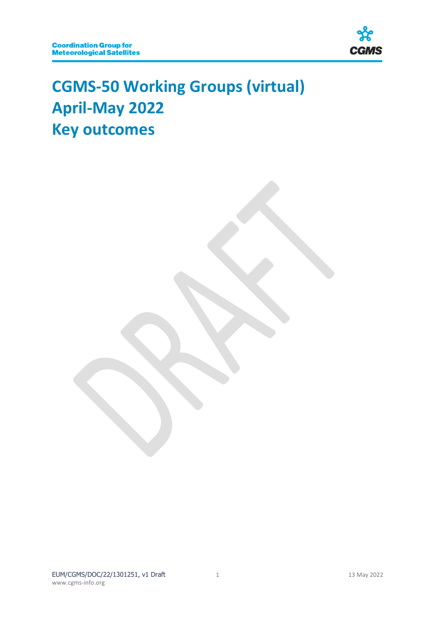

# **CGMS-50 Working Groups (virtual) April-May 2022 Key outcomes**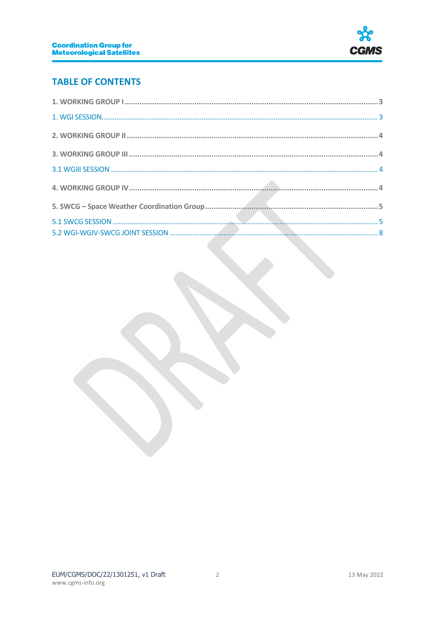

# **TABLE OF CONTENTS**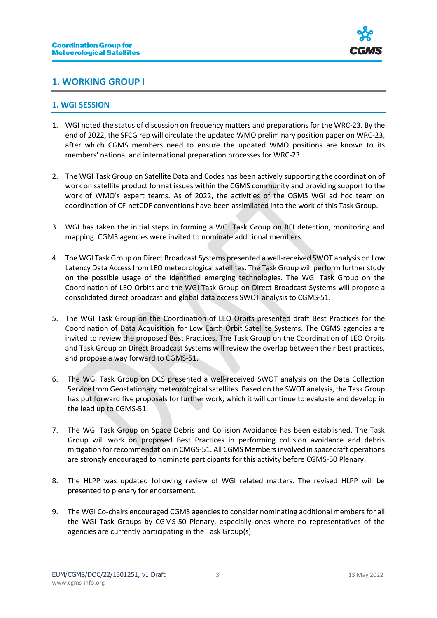

## <span id="page-2-0"></span>**1. WORKING GROUP I**

#### <span id="page-2-1"></span>**1. WGI SESSION**

- 1. WGI noted the status of discussion on frequency matters and preparations for the WRC-23. By the end of 2022, the SFCG rep will circulate the updated WMO preliminary position paper on WRC-23, after which CGMS members need to ensure the updated WMO positions are known to its members' national and international preparation processes for WRC-23.
- 2. The WGI Task Group on Satellite Data and Codes has been actively supporting the coordination of work on satellite product format issues within the CGMS community and providing support to the work of WMO's expert teams. As of 2022, the activities of the CGMS WGI ad hoc team on coordination of CF-netCDF conventions have been assimilated into the work of this Task Group.
- 3. WGI has taken the initial steps in forming a WGI Task Group on RFI detection, monitoring and mapping. CGMS agencies were invited to nominate additional members.
- 4. The WGI Task Group on Direct Broadcast Systems presented a well-received SWOT analysis on Low Latency Data Access from LEO meteorological satellites. The Task Group will perform further study on the possible usage of the identified emerging technologies. The WGI Task Group on the Coordination of LEO Orbits and the WGI Task Group on Direct Broadcast Systems will propose a consolidated direct broadcast and global data access SWOT analysis to CGMS-51.
- 5. The WGI Task Group on the Coordination of LEO Orbits presented draft Best Practices for the Coordination of Data Acquisition for Low Earth Orbit Satellite Systems. The CGMS agencies are invited to review the proposed Best Practices. The Task Group on the Coordination of LEO Orbits and Task Group on Direct Broadcast Systems will review the overlap between their best practices, and propose a way forward to CGMS-51.
- 6. The WGI Task Group on DCS presented a well-received SWOT analysis on the Data Collection Service from Geostationary meteorological satellites. Based on the SWOT analysis, the Task Group has put forward five proposals for further work, which it will continue to evaluate and develop in the lead up to CGMS-51.
- 7. The WGI Task Group on Space Debris and Collision Avoidance has been established. The Task Group will work on proposed Best Practices in performing collision avoidance and debris mitigation for recommendation in CMGS-51. All CGMS Members involved in spacecraft operations are strongly encouraged to nominate participants for this activity before CGMS-50 Plenary.
- 8. The HLPP was updated following review of WGI related matters. The revised HLPP will be presented to plenary for endorsement.
- 9. The WGI Co-chairs encouraged CGMS agencies to consider nominating additional members for all the WGI Task Groups by CGMS-50 Plenary, especially ones where no representatives of the agencies are currently participating in the Task Group(s).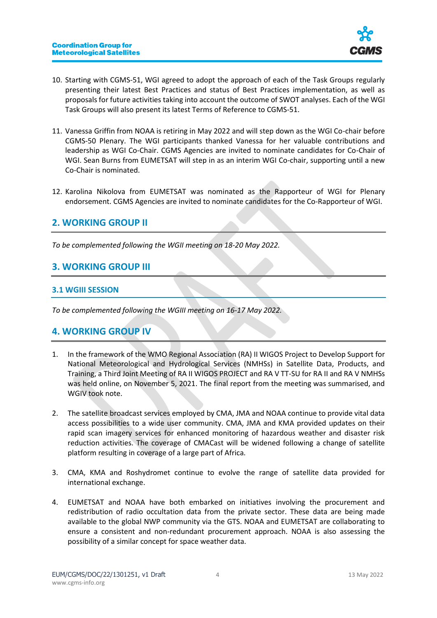

- 10. Starting with CGMS-51, WGI agreed to adopt the approach of each of the Task Groups regularly presenting their latest Best Practices and status of Best Practices implementation, as well as proposals for future activities taking into account the outcome of SWOT analyses. Each of the WGI Task Groups will also present its latest Terms of Reference to CGMS-51.
- 11. Vanessa Griffin from NOAA is retiring in May 2022 and will step down as the WGI Co-chair before CGMS-50 Plenary. The WGI participants thanked Vanessa for her valuable contributions and leadership as WGI Co-Chair. CGMS Agencies are invited to nominate candidates for Co-Chair of WGI. Sean Burns from EUMETSAT will step in as an interim WGI Co-chair, supporting until a new Co-Chair is nominated.
- 12. Karolina Nikolova from EUMETSAT was nominated as the Rapporteur of WGI for Plenary endorsement. CGMS Agencies are invited to nominate candidates for the Co-Rapporteur of WGI.

## <span id="page-3-0"></span>**2. WORKING GROUP II**

*To be complemented following the WGII meeting on 18-20 May 2022.*

## <span id="page-3-1"></span>**3. WORKING GROUP III**

#### <span id="page-3-2"></span>**3.1 WGIII SESSION**

*To be complemented following the WGIII meeting on 16-17 May 2022.*

## <span id="page-3-3"></span>**4. WORKING GROUP IV**

- 1. In the framework of the WMO Regional Association (RA) II WIGOS Project to Develop Support for National Meteorological and Hydrological Services (NMHSs) in Satellite Data, Products, and Training, a Third Joint Meeting of RA II WIGOS PROJECT and RA V TT-SU for RA II and RA V NMHSs was held online, on November 5, 2021. The final report from the meeting was summarised, and WGIV took note.
- 2. The satellite broadcast services employed by CMA, JMA and NOAA continue to provide vital data access possibilities to a wide user community. CMA, JMA and KMA provided updates on their rapid scan imagery services for enhanced monitoring of hazardous weather and disaster risk reduction activities. The coverage of CMACast will be widened following a change of satellite platform resulting in coverage of a large part of Africa.
- 3. CMA, KMA and Roshydromet continue to evolve the range of satellite data provided for international exchange.
- 4. EUMETSAT and NOAA have both embarked on initiatives involving the procurement and redistribution of radio occultation data from the private sector. These data are being made available to the global NWP community via the GTS. NOAA and EUMETSAT are collaborating to ensure a consistent and non-redundant procurement approach. NOAA is also assessing the possibility of a similar concept for space weather data.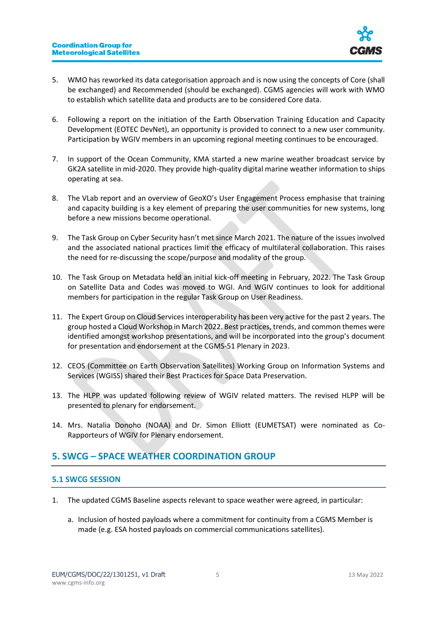

- 5. WMO has reworked its data categorisation approach and is now using the concepts of Core (shall be exchanged) and Recommended (should be exchanged). CGMS agencies will work with WMO to establish which satellite data and products are to be considered Core data.
- 6. Following a report on the initiation of the Earth Observation Training Education and Capacity Development (EOTEC DevNet), an opportunity is provided to connect to a new user community. Participation by WGIV members in an upcoming regional meeting continues to be encouraged.
- 7. In support of the Ocean Community, KMA started a new marine weather broadcast service by GK2A satellite in mid-2020. They provide high-quality digital marine weather information to ships operating at sea.
- 8. The VLab report and an overview of GeoXO's User Engagement Process emphasise that training and capacity building is a key element of preparing the user communities for new systems, long before a new missions become operational.
- 9. The Task Group on Cyber Security hasn't met since March 2021. The nature of the issues involved and the associated national practices limit the efficacy of multilateral collaboration. This raises the need for re-discussing the scope/purpose and modality of the group.
- 10. The Task Group on Metadata held an initial kick-off meeting in February, 2022. The Task Group on Satellite Data and Codes was moved to WGI. And WGIV continues to look for additional members for participation in the regular Task Group on User Readiness.
- 11. The Expert Group on Cloud Services interoperability has been very active for the past 2 years. The group hosted a Cloud Workshop in March 2022. Best practices, trends, and common themes were identified amongst workshop presentations, and will be incorporated into the group's document for presentation and endorsement at the CGMS-51 Plenary in 2023.
- 12. CEOS (Committee on Earth Observation Satellites) Working Group on Information Systems and Services (WGISS) shared their Best Practices for Space Data Preservation.
- 13. The HLPP was updated following review of WGIV related matters. The revised HLPP will be presented to plenary for endorsement.
- 14. Mrs. Natalia Donoho (NOAA) and Dr. Simon Elliott (EUMETSAT) were nominated as Co-Rapporteurs of WGIV for Plenary endorsement.

# <span id="page-4-0"></span>**5. SWCG – SPACE WEATHER COORDINATION GROUP**

#### <span id="page-4-1"></span>**5.1 SWCG SESSION**

- 1. The updated CGMS Baseline aspects relevant to space weather were agreed, in particular:
	- a. Inclusion of hosted payloads where a commitment for continuity from a CGMS Member is made (e.g. ESA hosted payloads on commercial communications satellites).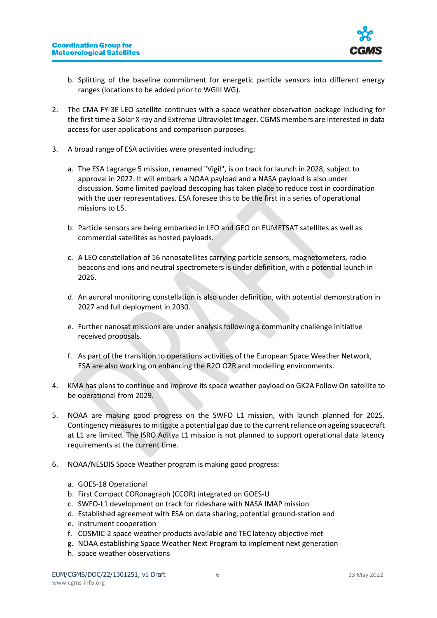

- b. Splitting of the baseline commitment for energetic particle sensors into different energy ranges (locations to be added prior to WGIII WG).
- 2. The CMA FY-3E LEO satellite continues with a space weather observation package including for the first time a Solar X-ray and Extreme Ultraviolet Imager. CGMS members are interested in data access for user applications and comparison purposes.
- 3. A broad range of ESA activities were presented including:
	- a. The ESA Lagrange 5 mission, renamed "Vigil", is on track for launch in 2028, subject to approval in 2022. It will embark a NOAA payload and a NASA payload is also under discussion. Some limited payload descoping has taken place to reduce cost in coordination with the user representatives. ESA foresee this to be the first in a series of operational missions to L5.
	- b. Particle sensors are being embarked in LEO and GEO on EUMETSAT satellites as well as commercial satellites as hosted payloads.
	- c. A LEO constellation of 16 nanosatellites carrying particle sensors, magnetometers, radio beacons and ions and neutral spectrometers is under definition, with a potential launch in 2026.
	- d. An auroral monitoring constellation is also under definition, with potential demonstration in 2027 and full deployment in 2030.
	- e. Further nanosat missions are under analysis following a community challenge initiative received proposals.
	- f. As part of the transition to operations activities of the European Space Weather Network, ESA are also working on enhancing the R2O O2R and modelling environments.
- 4. KMA has plans to continue and improve its space weather payload on GK2A Follow On satellite to be operational from 2029.
- 5. NOAA are making good progress on the SWFO L1 mission, with launch planned for 2025. Contingency measures to mitigate a potential gap due to the current reliance on ageing spacecraft at L1 are limited. The ISRO Aditya L1 mission is not planned to support operational data latency requirements at the current time.
- 6. NOAA/NESDIS Space Weather program is making good progress:
	- a. GOES-18 Operational
	- b. First Compact CORonagraph (CCOR) integrated on GOES-U
	- c. SWFO-L1 development on track for rideshare with NASA IMAP mission
	- d. Established agreement with ESA on data sharing, potential ground-station and
	- e. instrument cooperation
	- f. COSMIC-2 space weather products available and TEC latency objective met
	- g. NOAA establishing Space Weather Next Program to implement next generation
	- h. space weather observations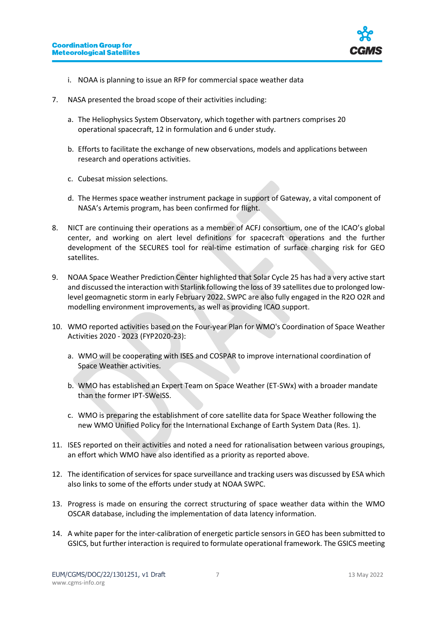

- i. NOAA is planning to issue an RFP for commercial space weather data
- 7. NASA presented the broad scope of their activities including:
	- a. The Heliophysics System Observatory, which together with partners comprises 20 operational spacecraft, 12 in formulation and 6 under study.
	- b. Efforts to facilitate the exchange of new observations, models and applications between research and operations activities.
	- c. Cubesat mission selections.
	- d. The Hermes space weather instrument package in support of Gateway, a vital component of NASA's Artemis program, has been confirmed for flight.
- 8. NICT are continuing their operations as a member of ACFJ consortium, one of the ICAO's global center, and working on alert level definitions for spacecraft operations and the further development of the SECURES tool for real-time estimation of surface charging risk for GEO satellites.
- 9. NOAA Space Weather Prediction Center highlighted that Solar Cycle 25 has had a very active start and discussed the interaction with Starlink following the loss of 39 satellites due to prolonged lowlevel geomagnetic storm in early February 2022. SWPC are also fully engaged in the R2O O2R and modelling environment improvements, as well as providing ICAO support.
- 10. WMO reported activities based on the Four-year Plan for WMO's Coordination of Space Weather Activities 2020 - 2023 (FYP2020-23):
	- a. WMO will be cooperating with ISES and COSPAR to improve international coordination of Space Weather activities.
	- b. WMO has established an Expert Team on Space Weather (ET-SWx) with a broader mandate than the former IPT-SWeISS.
	- c. WMO is preparing the establishment of core satellite data for Space Weather following the new WMO Unified Policy for the International Exchange of Earth System Data (Res. 1).
- 11. ISES reported on their activities and noted a need for rationalisation between various groupings, an effort which WMO have also identified as a priority as reported above.
- 12. The identification of services for space surveillance and tracking users was discussed by ESA which also links to some of the efforts under study at NOAA SWPC.
- 13. Progress is made on ensuring the correct structuring of space weather data within the WMO OSCAR database, including the implementation of data latency information.
- 14. A white paper for the inter-calibration of energetic particle sensors in GEO has been submitted to GSICS, but further interaction is required to formulate operational framework. The GSICS meeting